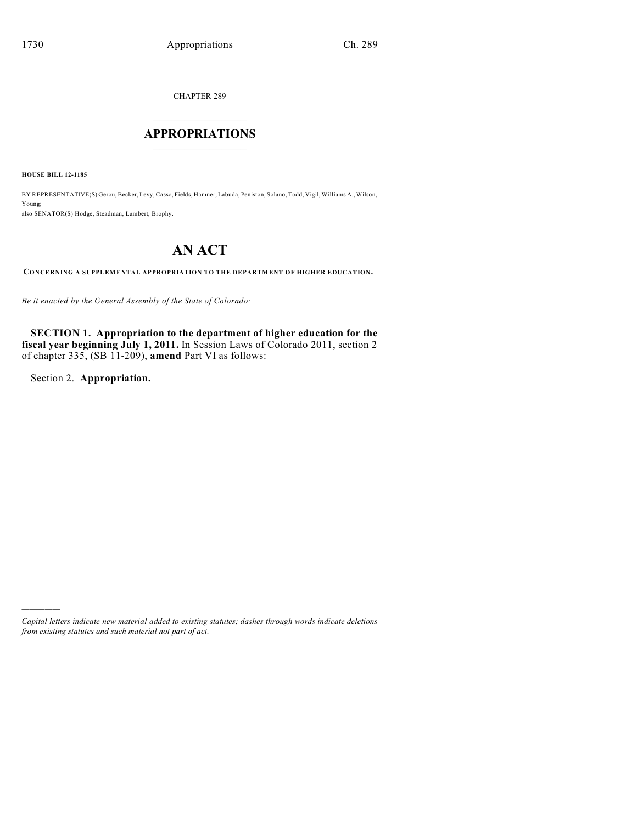CHAPTER 289

# $\mathcal{L}_\text{max}$  . The set of the set of the set of the set of the set of the set of the set of the set of the set of the set of the set of the set of the set of the set of the set of the set of the set of the set of the set **APPROPRIATIONS**  $\_$   $\_$   $\_$   $\_$   $\_$   $\_$   $\_$   $\_$

**HOUSE BILL 12-1185**

BY REPRESENTATIVE(S) Gerou, Becker, Levy, Casso, Fields, Hamner, Labuda, Peniston, Solano, Todd, Vigil, Williams A., Wilson, Young; also SENATOR(S) Hodge, Steadman, Lambert, Brophy.

# **AN ACT**

**CONCERNING A SUPPLEMENTAL APPROPRIATION TO THE DEPARTMENT OF HIGHER EDUCATION.**

*Be it enacted by the General Assembly of the State of Colorado:*

**SECTION 1. Appropriation to the department of higher education for the fiscal year beginning July 1, 2011.** In Session Laws of Colorado 2011, section 2 of chapter 335, (SB 11-209), **amend** Part VI as follows:

Section 2. **Appropriation.**

)))))

*Capital letters indicate new material added to existing statutes; dashes through words indicate deletions from existing statutes and such material not part of act.*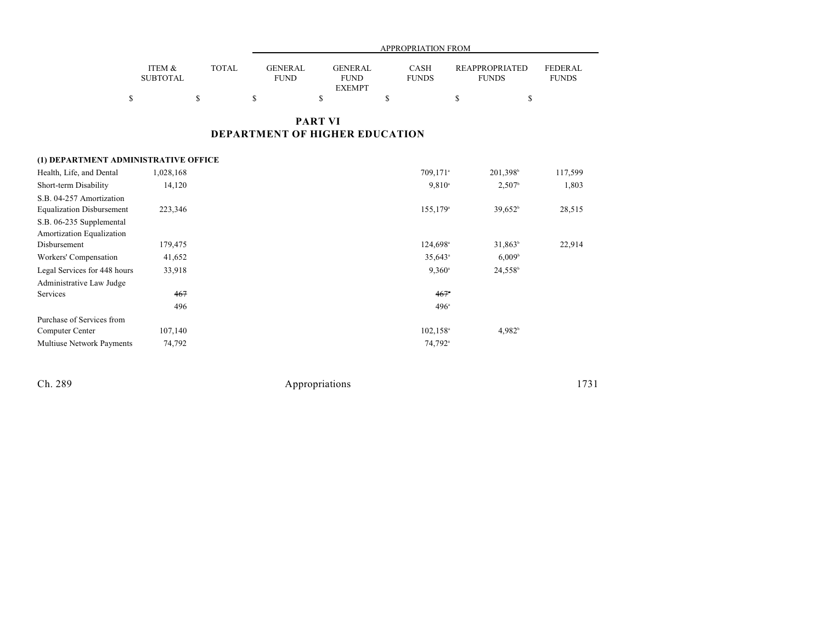|                           |              |                               |                                                | APPROPRIATION FROM          |                                       |                         |
|---------------------------|--------------|-------------------------------|------------------------------------------------|-----------------------------|---------------------------------------|-------------------------|
| ITEM &<br><b>SUBTOTAL</b> | <b>TOTAL</b> | <b>GENERAL</b><br><b>FUND</b> | <b>GENERAL</b><br><b>FUND</b><br><b>EXEMPT</b> | <b>CASH</b><br><b>FUNDS</b> | <b>REAPPROPRIATED</b><br><b>FUNDS</b> | FEDERAL<br><b>FUNDS</b> |
|                           |              |                               |                                                |                             |                                       |                         |

## **PART VI DEPARTMENT OF HIGHER EDUCATION**

### **(1) DEPARTMENT ADMINISTRATIVE OFFICE**

| Health, Life, and Dental         | 1,028,168 | 709,171 <sup>a</sup>    | 201,398 <sup>b</sup> | 117,599 |
|----------------------------------|-----------|-------------------------|----------------------|---------|
| Short-term Disability            | 14,120    | $9,810^{\circ}$         | $2,507$ <sup>b</sup> | 1,803   |
| S.B. 04-257 Amortization         |           |                         |                      |         |
| <b>Equalization Disbursement</b> | 223,346   | $155, 179$ <sup>a</sup> | $39,652^b$           | 28,515  |
| S.B. 06-235 Supplemental         |           |                         |                      |         |
| Amortization Equalization        |           |                         |                      |         |
| Disbursement                     | 179,475   | 124,698 <sup>a</sup>    | $31.863^b$           | 22,914  |
| Workers' Compensation            | 41,652    | $35,643$ <sup>a</sup>   | 6,009 <sup>b</sup>   |         |
| Legal Services for 448 hours     | 33,918    | $9,360^{\circ}$         | 24,558 <sup>b</sup>  |         |
| Administrative Law Judge         |           |                         |                      |         |
| Services                         | 467       | $467$ <sup>*</sup>      |                      |         |
|                                  | 496       | $496^{\circ}$           |                      |         |
| Purchase of Services from        |           |                         |                      |         |
| Computer Center                  | 107,140   | $102, 158$ <sup>a</sup> | 4,982 <sup>b</sup>   |         |
| <b>Multiuse Network Payments</b> | 74,792    | 74,792 <sup>a</sup>     |                      |         |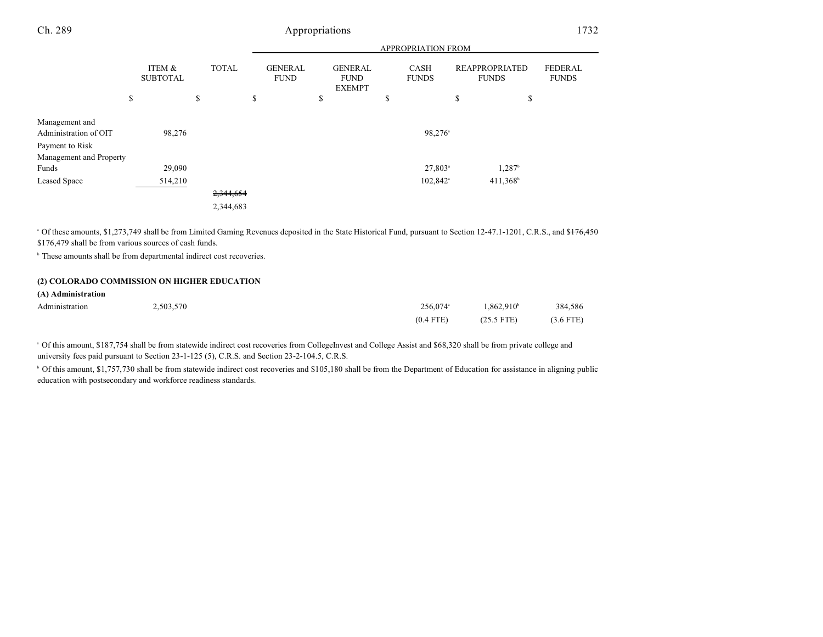|                                            |                           |              |                               |                                                | APPROPRIATION FROM          |                                       |                                |
|--------------------------------------------|---------------------------|--------------|-------------------------------|------------------------------------------------|-----------------------------|---------------------------------------|--------------------------------|
|                                            | ITEM &<br><b>SUBTOTAL</b> | <b>TOTAL</b> | <b>GENERAL</b><br><b>FUND</b> | <b>GENERAL</b><br><b>FUND</b><br><b>EXEMPT</b> | <b>CASH</b><br><b>FUNDS</b> | <b>REAPPROPRIATED</b><br><b>FUNDS</b> | <b>FEDERAL</b><br><b>FUNDS</b> |
|                                            | \$                        | \$           | \$                            | \$                                             | \$                          | \$<br>\$                              |                                |
| Management and<br>Administration of OIT    | 98,276                    |              |                               |                                                | $98,276$ <sup>a</sup>       |                                       |                                |
| Payment to Risk<br>Management and Property |                           |              |                               |                                                |                             |                                       |                                |
| Funds                                      | 29,090                    |              |                               |                                                | $27,803$ <sup>a</sup>       | $1,287^{\rm b}$                       |                                |
| <b>Leased Space</b>                        | 514,210                   |              |                               |                                                | $102,842$ <sup>a</sup>      | $411,368^b$                           |                                |
|                                            |                           | 2,344,654    |                               |                                                |                             |                                       |                                |
|                                            |                           | 2,344,683    |                               |                                                |                             |                                       |                                |

<sup>a</sup> Of these amounts, \$1,273,749 shall be from Limited Gaming Revenues deposited in the State Historical Fund, pursuant to Section 12-47.1-1201, C.R.S., and <del>\$176,450</del> \$176,479 shall be from various sources of cash funds.

<sup>b</sup> These amounts shall be from departmental indirect cost recoveries.

#### **(2) COLORADO COMMISSION ON HIGHER EDUCATION**

| (A) Administration |           |                      |                        |             |
|--------------------|-----------|----------------------|------------------------|-------------|
| Administration     | 2.503.570 | 256.074 <sup>a</sup> | 1.862.910 <sup>b</sup> | 384.586     |
|                    |           | $(0.4$ FTE)          | $(25.5$ FTE)           | $(3.6$ FTE) |

<sup>a</sup> Of this amount, \$187,754 shall be from statewide indirect cost recoveries from CollegeInvest and College Assist and \$68,320 shall be from private college and university fees paid pursuant to Section 23-1-125 (5), C.R.S. and Section 23-2-104.5, C.R.S.

<sup>b</sup> Of this amount, \$1,757,730 shall be from statewide indirect cost recoveries and \$105,180 shall be from the Department of Education for assistance in aligning public education with postsecondary and workforce readiness standards.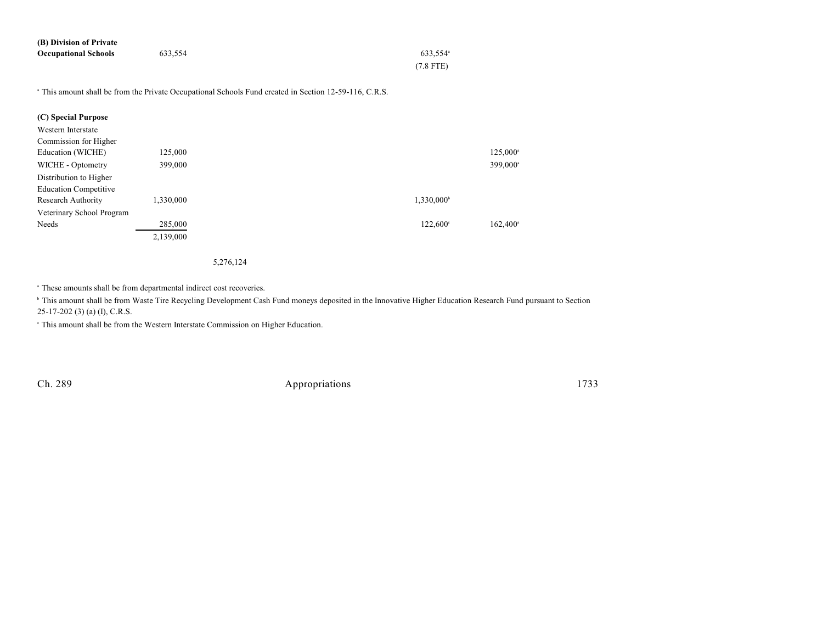| (B) Division of Private     |         |                      |
|-----------------------------|---------|----------------------|
| <b>Occupational Schools</b> | 633.554 | 633.554 <sup>a</sup> |
|                             |         | $(7.8$ FTE)          |

<sup>a</sup> This amount shall be from the Private Occupational Schools Fund created in Section 12-59-116, C.R.S.

| (C) Special Purpose          |           |                        |                      |
|------------------------------|-----------|------------------------|----------------------|
| Western Interstate           |           |                        |                      |
| Commission for Higher        |           |                        |                      |
| Education (WICHE)            | 125,000   |                        | 125,000 <sup>a</sup> |
| WICHE - Optometry            | 399,000   |                        | 399,000 <sup>a</sup> |
| Distribution to Higher       |           |                        |                      |
| <b>Education Competitive</b> |           |                        |                      |
| Research Authority           | 1,330,000 | 1,330,000 <sup>b</sup> |                      |
| Veterinary School Program    |           |                        |                      |
| Needs                        | 285,000   | $122,600^{\circ}$      | $162,400^{\circ}$    |
|                              | 2,139,000 |                        |                      |

#### 5,276,124

<sup>a</sup> These amounts shall be from departmental indirect cost recoveries.

<sup>b</sup> This amount shall be from Waste Tire Recycling Development Cash Fund moneys deposited in the Innovative Higher Education Research Fund pursuant to Section 25-17-202 (3) (a) (I), C.R.S.

This amount shall be from the Western Interstate Commission on Higher Education. c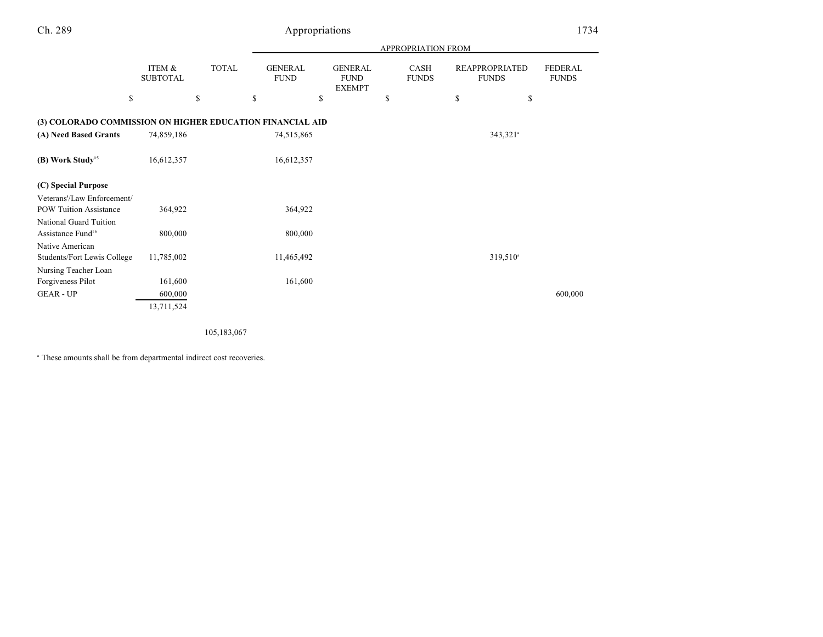| ۰. |  | v<br>н. |
|----|--|---------|
|----|--|---------|

# Appropriations 1734

|                                                             |                           |              |                               |                                                | <b>APPROPRIATION FROM</b> |                                       |                                |
|-------------------------------------------------------------|---------------------------|--------------|-------------------------------|------------------------------------------------|---------------------------|---------------------------------------|--------------------------------|
|                                                             | ITEM &<br><b>SUBTOTAL</b> | <b>TOTAL</b> | <b>GENERAL</b><br><b>FUND</b> | <b>GENERAL</b><br><b>FUND</b><br><b>EXEMPT</b> | CASH<br><b>FUNDS</b>      | <b>REAPPROPRIATED</b><br><b>FUNDS</b> | <b>FEDERAL</b><br><b>FUNDS</b> |
| \$                                                          |                           | \$           | \$                            | \$                                             | \$                        | \$<br>\$                              |                                |
| (3) COLORADO COMMISSION ON HIGHER EDUCATION FINANCIAL AID   |                           |              |                               |                                                |                           |                                       |                                |
| (A) Need Based Grants                                       | 74,859,186                |              | 74,515,865                    |                                                |                           | $343,321$ <sup>a</sup>                |                                |
| (B) Work Study <sup>15</sup>                                | 16,612,357                |              | 16,612,357                    |                                                |                           |                                       |                                |
| (C) Special Purpose                                         |                           |              |                               |                                                |                           |                                       |                                |
| Veterans'/Law Enforcement/<br><b>POW Tuition Assistance</b> | 364,922                   |              | 364,922                       |                                                |                           |                                       |                                |
| National Guard Tuition                                      |                           |              |                               |                                                |                           |                                       |                                |
| Assistance Fund <sup>16</sup>                               | 800,000                   |              | 800,000                       |                                                |                           |                                       |                                |
| Native American                                             |                           |              |                               |                                                |                           |                                       |                                |
| Students/Fort Lewis College                                 | 11,785,002                |              | 11,465,492                    |                                                |                           | $319,510^{\circ}$                     |                                |
| Nursing Teacher Loan                                        |                           |              |                               |                                                |                           |                                       |                                |
| Forgiveness Pilot                                           | 161,600                   |              | 161,600                       |                                                |                           |                                       |                                |
| <b>GEAR - UP</b>                                            | 600,000                   |              |                               |                                                |                           |                                       | 600,000                        |
|                                                             | 13,711,524                |              |                               |                                                |                           |                                       |                                |

105,183,067

<sup>a</sup> These amounts shall be from departmental indirect cost recoveries.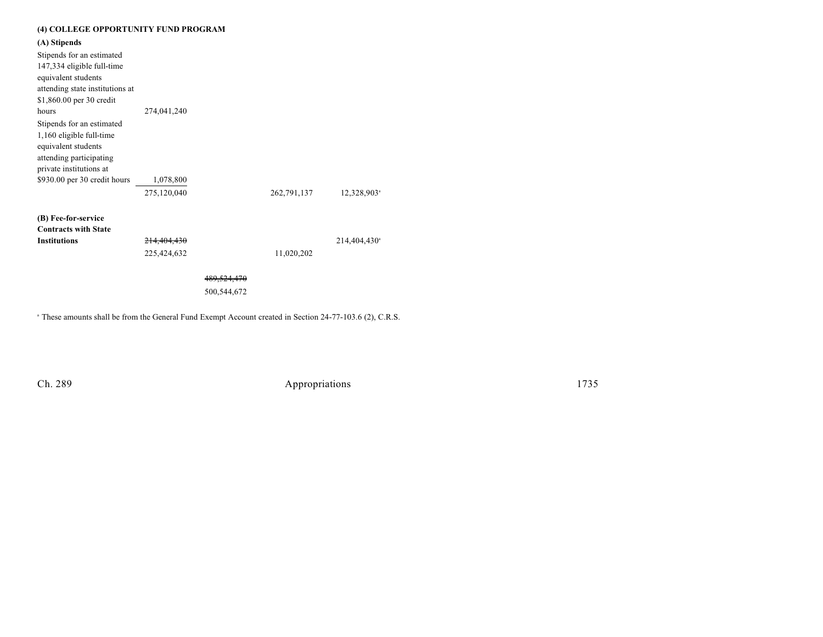### **(4) COLLEGE OPPORTUNITY FUND PROGRAM**

**(A) Stipends**

| Stipends for an estimated<br>147,334 eligible full-time<br>equivalent students<br>attending state institutions at<br>\$1,860.00 per 30 credit |             |                        |             |                          |
|-----------------------------------------------------------------------------------------------------------------------------------------------|-------------|------------------------|-------------|--------------------------|
| hours                                                                                                                                         | 274,041,240 |                        |             |                          |
| Stipends for an estimated<br>1,160 eligible full-time<br>equivalent students<br>attending participating<br>private institutions at            |             |                        |             |                          |
| \$930.00 per 30 credit hours                                                                                                                  | 1,078,800   |                        |             |                          |
|                                                                                                                                               | 275,120,040 |                        | 262,791,137 | 12,328,903 <sup>a</sup>  |
| (B) Fee-for-service                                                                                                                           |             |                        |             |                          |
| <b>Contracts with State</b>                                                                                                                   |             |                        |             |                          |
| <b>Institutions</b>                                                                                                                           | 214,404,430 |                        |             | 214,404,430 <sup>a</sup> |
|                                                                                                                                               | 225,424,632 |                        | 11,020,202  |                          |
|                                                                                                                                               |             | <del>489.524.470</del> |             |                          |
|                                                                                                                                               |             | 500,544,672            |             |                          |

<sup>a</sup> These amounts shall be from the General Fund Exempt Account created in Section 24-77-103.6 (2), C.R.S.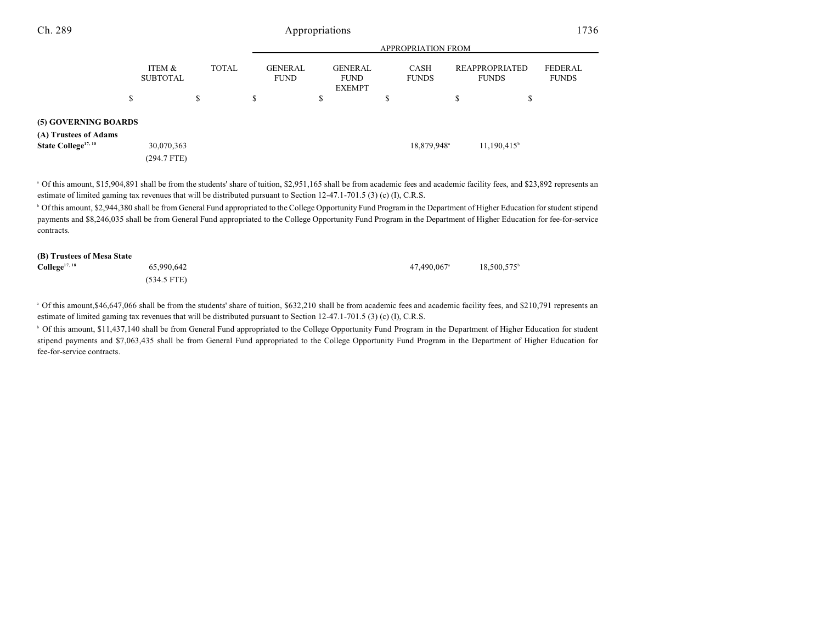|                                 |                           |              |                               |                                                |         | <b>APPROPRIATION FROM</b>   |                                |                         |
|---------------------------------|---------------------------|--------------|-------------------------------|------------------------------------------------|---------|-----------------------------|--------------------------------|-------------------------|
|                                 | ITEM &<br><b>SUBTOTAL</b> | <b>TOTAL</b> | <b>GENERAL</b><br><b>FUND</b> | <b>GENERAL</b><br><b>FUND</b><br><b>EXEMPT</b> |         | <b>CASH</b><br><b>FUNDS</b> | REAPPROPRIATED<br><b>FUNDS</b> | FEDERAL<br><b>FUNDS</b> |
| \$                              |                           | \$           | \$                            | \$                                             | ch<br>ъ |                             | \$                             |                         |
| (5) GOVERNING BOARDS            |                           |              |                               |                                                |         |                             |                                |                         |
| (A) Trustees of Adams           |                           |              |                               |                                                |         |                             |                                |                         |
| State College <sup>17, 18</sup> | 30,070,363<br>(294.7 FTE) |              |                               |                                                |         | 18,879,948 <sup>a</sup>     | $11,190,415$ <sup>b</sup>      |                         |

<sup>a</sup> Of this amount, \$15,904,891 shall be from the students' share of tuition, \$2,951,165 shall be from academic fees and academic facility fees, and \$23,892 represents an estimate of limited gaming tax revenues that will be distributed pursuant to Section 12-47.1-701.5 (3) (c) (I), C.R.S.

 $^{\rm b}$  Of this amount, \$2,944,380 shall be from General Fund appropriated to the College Opportunity Fund Program in the Department of Higher Education for student stipend payments and \$8,246,035 shall be from General Fund appropriated to the College Opportunity Fund Program in the Department of Higher Education for fee-for-service contracts.

#### **(B) Trustees of Mesa State**

| $\text{Collect}^{17,18}$ | 65,990,642    | 47.490.067ª | 18,500,575 <sup>b</sup> |
|--------------------------|---------------|-------------|-------------------------|
|                          | $(534.5$ FTE) |             |                         |

<sup>a</sup> Of this amount, \$46,647,066 shall be from the students' share of tuition, \$632,210 shall be from academic fees and academic facility fees, and \$210,791 represents an estimate of limited gaming tax revenues that will be distributed pursuant to Section 12-47.1-701.5 (3) (c) (I), C.R.S.

<sup>b</sup> Of this amount, \$11,437,140 shall be from General Fund appropriated to the College Opportunity Fund Program in the Department of Higher Education for student stipend payments and \$7,063,435 shall be from General Fund appropriated to the College Opportunity Fund Program in the Department of Higher Education for fee-for-service contracts.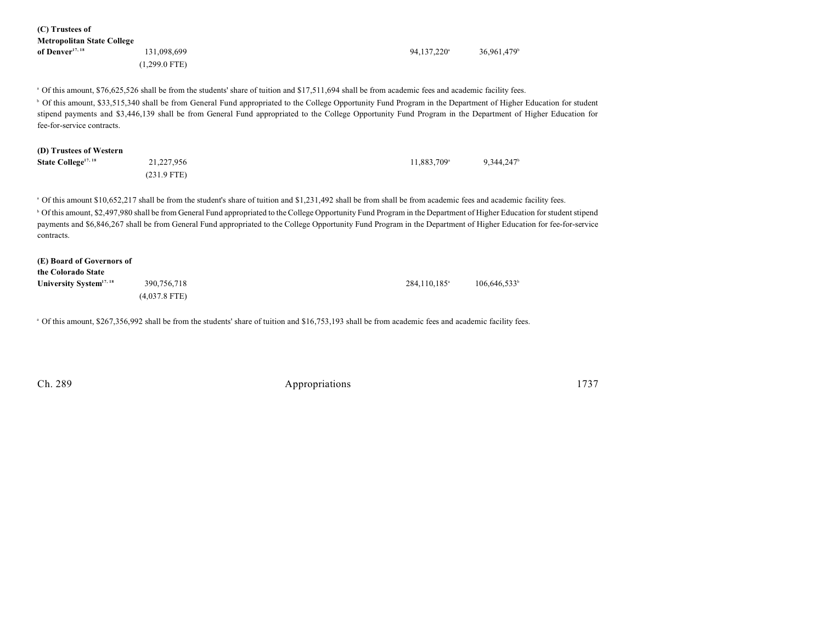| (C) Trustees of<br><b>Metropolitan State College</b> |                                                                                                                                                                                                                                                                                                                                           |                          |                          |
|------------------------------------------------------|-------------------------------------------------------------------------------------------------------------------------------------------------------------------------------------------------------------------------------------------------------------------------------------------------------------------------------------------|--------------------------|--------------------------|
| of Denver <sup>17, 18</sup>                          | 131,098,699                                                                                                                                                                                                                                                                                                                               | 94,137,220 <sup>a</sup>  | 36,961,479 <sup>b</sup>  |
|                                                      | $(1,299.0$ FTE)                                                                                                                                                                                                                                                                                                                           |                          |                          |
|                                                      | of this amount, \$76,625,526 shall be from the students' share of tuition and \$17,511,694 shall be from academic fees and academic facility fees.                                                                                                                                                                                        |                          |                          |
| fee-for-service contracts.                           | <sup>6</sup> Of this amount, \$33,515,340 shall be from General Fund appropriated to the College Opportunity Fund Program in the Department of Higher Education for student<br>stipend payments and \$3,446,139 shall be from General Fund appropriated to the College Opportunity Fund Program in the Department of Higher Education for |                          |                          |
| (D) Trustees of Western                              |                                                                                                                                                                                                                                                                                                                                           |                          |                          |
| State College <sup>17, 18</sup>                      | 21,227,956                                                                                                                                                                                                                                                                                                                                | 11,883,709 <sup>a</sup>  | 9,344,247                |
|                                                      | $(231.9$ FTE)                                                                                                                                                                                                                                                                                                                             |                          |                          |
|                                                      | of this amount \$10,652,217 shall be from the student's share of tuition and \$1,231,492 shall be from shall be from academic fees and academic facility fees.                                                                                                                                                                            |                          |                          |
|                                                      | <sup>b</sup> Of this amount, \$2,497,980 shall be from General Fund appropriated to the College Opportunity Fund Program in the Department of Higher Education for student stipend                                                                                                                                                        |                          |                          |
| contracts.                                           | payments and \$6,846,267 shall be from General Fund appropriated to the College Opportunity Fund Program in the Department of Higher Education for fee-for-service                                                                                                                                                                        |                          |                          |
| (E) Board of Governors of                            |                                                                                                                                                                                                                                                                                                                                           |                          |                          |
| the Colorado State                                   |                                                                                                                                                                                                                                                                                                                                           |                          |                          |
| University System <sup>17, 18</sup>                  | 390,756,718                                                                                                                                                                                                                                                                                                                               | 284,110,185 <sup>a</sup> | 106,646,533 <sup>b</sup> |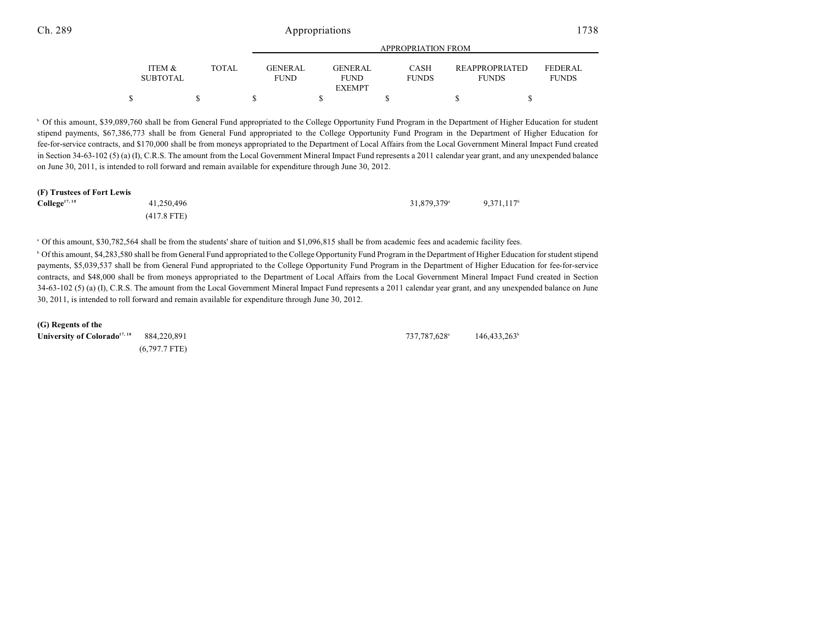|                           |       |                                | APPROPRIATION FROM            |                             |                                       |                                |  |  |
|---------------------------|-------|--------------------------------|-------------------------------|-----------------------------|---------------------------------------|--------------------------------|--|--|
| ITEM &<br><b>SUBTOTAL</b> | TOTAL | <b>GENER AL</b><br><b>FUND</b> | <b>GENERAL</b><br><b>FUND</b> | <b>CASH</b><br><b>FUNDS</b> | <b>REAPPROPRIATED</b><br><b>FUNDS</b> | <b>FEDERAL</b><br><b>FUNDS</b> |  |  |
|                           |       |                                | <b>EXEMPT</b>                 |                             |                                       |                                |  |  |
|                           |       |                                |                               |                             |                                       |                                |  |  |

<sup>b</sup> Of this amount, \$39,089,760 shall be from General Fund appropriated to the College Opportunity Fund Program in the Department of Higher Education for student stipend payments, \$67,386,773 shall be from General Fund appropriated to the College Opportunity Fund Program in the Department of Higher Education for fee-for-service contracts, and \$170,000 shall be from moneys appropriated to the Department of Local Affairs from the Local Government Mineral Impact Fund created in Section 34-63-102 (5) (a) (I), C.R.S. The amount from the Local Government Mineral Impact Fund represents a 2011 calendar year grant, and any unexpended balance on June 30, 2011, is intended to roll forward and remain available for expenditure through June 30, 2012.

#### **(F) Trustees of Fort Lewis**

| College <sup>17, 18</sup> | 41,250,496    | 31,879,379 <sup>a</sup> | 9,371,117 <sup>b</sup> |
|---------------------------|---------------|-------------------------|------------------------|
|                           | $(417.8$ FTE) |                         |                        |

<sup>a</sup> Of this amount, \$30,782,564 shall be from the students' share of tuition and \$1,096,815 shall be from academic fees and academic facility fees.

 $^{\circ}$  Of this amount, \$4,283,580 shall be from General Fund appropriated to the College Opportunity Fund Program in the Department of Higher Education for student stipend payments, \$5,039,537 shall be from General Fund appropriated to the College Opportunity Fund Program in the Department of Higher Education for fee-for-service contracts, and \$48,000 shall be from moneys appropriated to the Department of Local Affairs from the Local Government Mineral Impact Fund created in Section 34-63-102 (5) (a) (I), C.R.S. The amount from the Local Government Mineral Impact Fund represents a 2011 calendar year grant, and any unexpended balance on June 30, 2011, is intended to roll forward and remain available for expenditure through June 30, 2012.

**(G) Regents of the University of Colorado<sup>17, 18</sup> 884,220,891 146,433,263 737,787,628 146,433,263** 

(6,797.7 FTE)

 $737,787,628$ <sup>a</sup>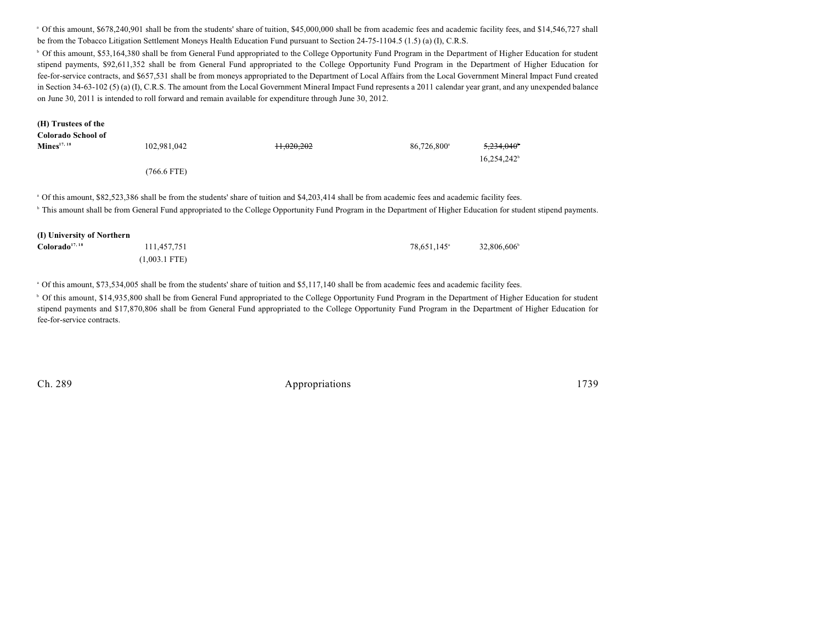<sup>a</sup> Of this amount, \$678,240,901 shall be from the students' share of tuition, \$45,000,000 shall be from academic fees and academic facility fees, and \$14,546,727 shall be from the Tobacco Litigation Settlement Moneys Health Education Fund pursuant to Section 24-75-1104.5 (1.5) (a) (I), C.R.S.

<sup>b</sup> Of this amount, \$53,164,380 shall be from General Fund appropriated to the College Opportunity Fund Program in the Department of Higher Education for student stipend payments, \$92,611,352 shall be from General Fund appropriated to the College Opportunity Fund Program in the Department of Higher Education for fee-for-service contracts, and \$657,531 shall be from moneys appropriated to the Department of Local Affairs from the Local Government Mineral Impact Fund created in Section 34-63-102 (5) (a) (I), C.R.S. The amount from the Local Government Mineral Impact Fund represents a 2011 calendar year grant, and any unexpended balance on June 30, 2011 is intended to roll forward and remain available for expenditure through June 30, 2012.

| (H) Trustees of the        |                 |                                                                                                                                                                              |                         |                         |  |
|----------------------------|-----------------|------------------------------------------------------------------------------------------------------------------------------------------------------------------------------|-------------------------|-------------------------|--|
| Colorado School of         |                 |                                                                                                                                                                              |                         |                         |  |
| $\mathbf{Mines}^{17, 18}$  | 102.981.042     | 11.020.202                                                                                                                                                                   | 86,726,800 <sup>a</sup> | 5,234,040               |  |
|                            |                 |                                                                                                                                                                              |                         | 16,254,242 <sup>b</sup> |  |
|                            | $(766.6$ FTE)   |                                                                                                                                                                              |                         |                         |  |
|                            |                 | <sup>h</sup> This amount shall be from General Fund appropriated to the College Opportunity Fund Program in the Department of Higher Education for student stipend payments. |                         |                         |  |
| (I) University of Northern |                 |                                                                                                                                                                              |                         |                         |  |
| Colorado <sup>17,18</sup>  | 111,457,751     |                                                                                                                                                                              | 78,651,145 <sup>a</sup> | 32,806,606 <sup>b</sup> |  |
|                            | $(1,003.1$ FTE) |                                                                                                                                                                              |                         |                         |  |
|                            |                 | of this amount, \$73,534,005 shall be from the students' share of tuition and \$5,117,140 shall be from academic fees and academic facility fees                             |                         |                         |  |

<sup>b</sup> Of this amount, \$14,935,800 shall be from General Fund appropriated to the College Opportunity Fund Program in the Department of Higher Education for student stipend payments and \$17,870,806 shall be from General Fund appropriated to the College Opportunity Fund Program in the Department of Higher Education for fee-for-service contracts.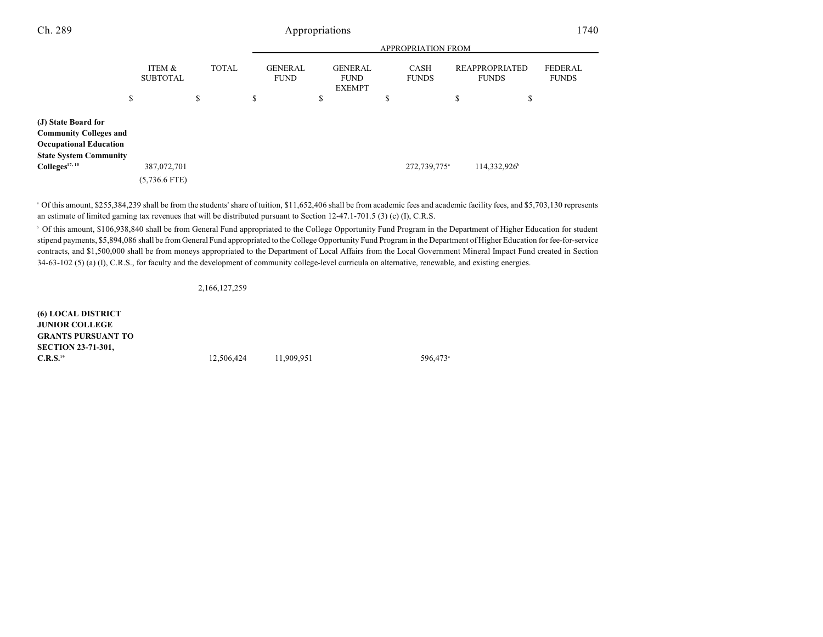|                                                                                                                        |                                | <b>APPROPRIATION FROM</b> |                               |                                                |                             |                                       |                         |
|------------------------------------------------------------------------------------------------------------------------|--------------------------------|---------------------------|-------------------------------|------------------------------------------------|-----------------------------|---------------------------------------|-------------------------|
|                                                                                                                        | ITEM &<br><b>SUBTOTAL</b>      | <b>TOTAL</b>              | <b>GENERAL</b><br><b>FUND</b> | <b>GENERAL</b><br><b>FUND</b><br><b>EXEMPT</b> | <b>CASH</b><br><b>FUNDS</b> | <b>REAPPROPRIATED</b><br><b>FUNDS</b> | FEDERAL<br><b>FUNDS</b> |
|                                                                                                                        | \$                             | \$                        | \$                            | \$                                             | \$                          | \$                                    | ¢<br>Ф                  |
| (J) State Board for<br><b>Community Colleges and</b><br><b>Occupational Education</b><br><b>State System Community</b> |                                |                           |                               |                                                |                             |                                       |                         |
| Colleges <sup>17, 18</sup>                                                                                             | 387,072,701<br>$(5,736.6$ FTE) |                           |                               |                                                | 272,739,775 <sup>a</sup>    | 114,332,926                           |                         |
|                                                                                                                        |                                |                           |                               |                                                |                             |                                       |                         |

 $^{\circ}$  Of this amount, \$255,384,239 shall be from the students' share of tuition, \$11,652,406 shall be from academic fees and academic facility fees, and \$5,703,130 represents an estimate of limited gaming tax revenues that will be distributed pursuant to Section 12-47.1-701.5 (3) (c) (I), C.R.S.

<sup>b</sup> Of this amount, \$106,938,840 shall be from General Fund appropriated to the College Opportunity Fund Program in the Department of Higher Education for student stipend payments, \$5,894,086 shall be from General Fund appropriated to the College Opportunity Fund Program in the Department of Higher Education for fee-for-service contracts, and \$1,500,000 shall be from moneys appropriated to the Department of Local Affairs from the Local Government Mineral Impact Fund created in Section 34-63-102 (5) (a) (I), C.R.S., for faculty and the development of community college-level curricula on alternative, renewable, and existing energies.

2,166,127,259

**(6) LOCAL DISTRICT JUNIOR COLLEGE GRANTS PURSUANT TO SECTION 23-71-301, C.R.S.**<sup>19</sup> 596,473 596,473 12,506,424 11,909,951 **12**,506,424 **11**,909,951 **13**,596,473<sup>a</sup> **11**,909,951 **13**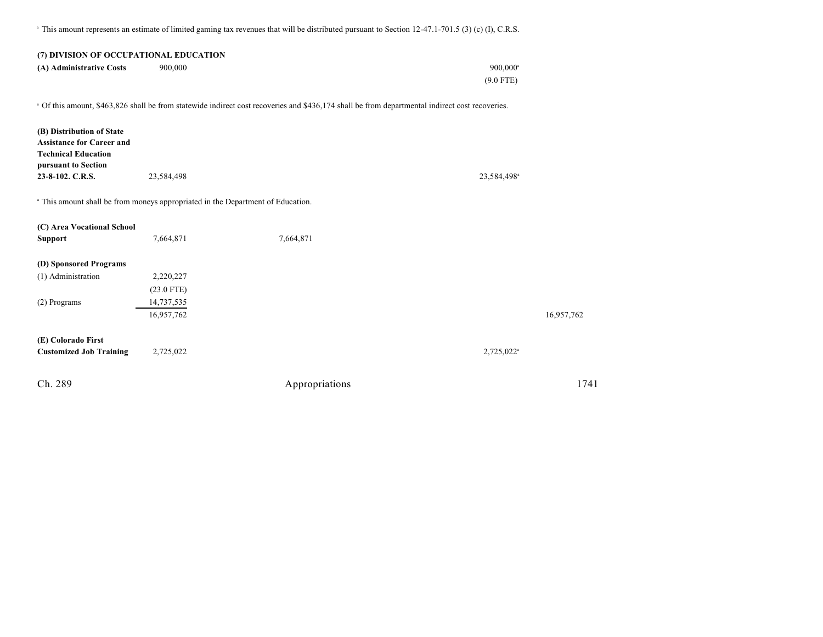<sup>a</sup> This amount represents an estimate of limited gaming tax revenues that will be distributed pursuant to Section 12-47.1-701.5 (3) (c) (I), C.R.S.

#### **(7) DIVISION OF OCCUPATIONAL EDUCATION**

| (A) Administrative Costs | 900,000 | $900,000^{\rm a}$ |
|--------------------------|---------|-------------------|
|                          |         | $(9.0$ FTE)       |

Of this amount, \$463,826 shall be from statewide indirect cost recoveries and \$436,174 shall be from departmental indirect cost recoveries. <sup>a</sup>

| (B) Distribution of State<br><b>Assistance for Career and</b><br><b>Technical Education</b><br>pursuant to Section |              |                |                          |            |
|--------------------------------------------------------------------------------------------------------------------|--------------|----------------|--------------------------|------------|
| 23-8-102. C.R.S.                                                                                                   | 23,584,498   |                | 23,584,498 <sup>a</sup>  |            |
| <sup>a</sup> This amount shall be from moneys appropriated in the Department of Education.                         |              |                |                          |            |
| (C) Area Vocational School                                                                                         |              |                |                          |            |
| <b>Support</b>                                                                                                     | 7,664,871    | 7,664,871      |                          |            |
| (D) Sponsored Programs                                                                                             |              |                |                          |            |
| (1) Administration                                                                                                 | 2,220,227    |                |                          |            |
|                                                                                                                    | $(23.0$ FTE) |                |                          |            |
| (2) Programs                                                                                                       | 14,737,535   |                |                          |            |
|                                                                                                                    | 16,957,762   |                |                          | 16,957,762 |
| (E) Colorado First<br><b>Customized Job Training</b>                                                               | 2,725,022    |                | $2,725,022$ <sup>a</sup> |            |
| Ch. 289                                                                                                            |              | Appropriations |                          | 1741       |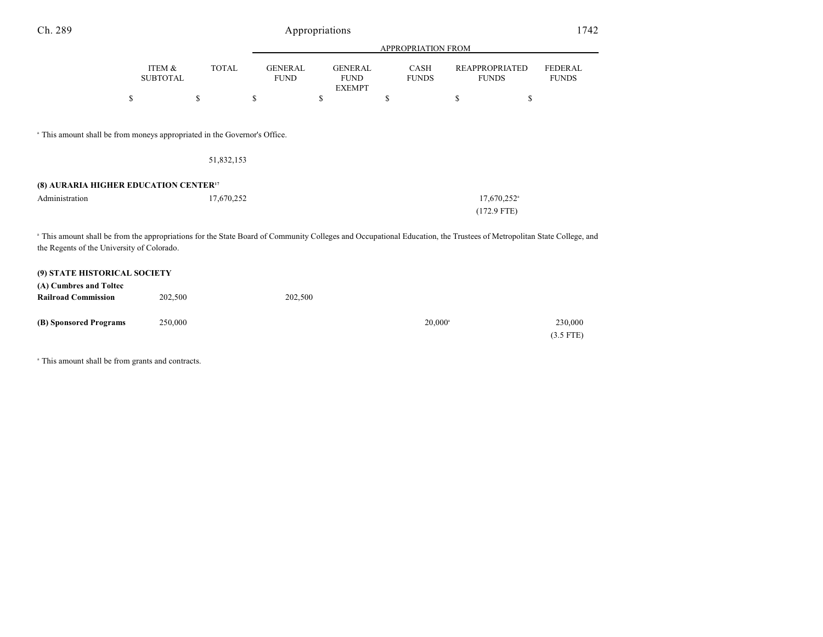| Ch. 289                                                                                                                                                                                                            |                           |              |                               | Appropriations |                                                |                                             |                             |    |                                          | 1742                           |
|--------------------------------------------------------------------------------------------------------------------------------------------------------------------------------------------------------------------|---------------------------|--------------|-------------------------------|----------------|------------------------------------------------|---------------------------------------------|-----------------------------|----|------------------------------------------|--------------------------------|
|                                                                                                                                                                                                                    |                           |              | APPROPRIATION FROM            |                |                                                |                                             |                             |    |                                          |                                |
|                                                                                                                                                                                                                    | ITEM &<br><b>SUBTOTAL</b> | <b>TOTAL</b> | <b>GENERAL</b><br><b>FUND</b> |                | <b>GENERAL</b><br><b>FUND</b><br><b>EXEMPT</b> |                                             | <b>CASH</b><br><b>FUNDS</b> |    | <b>REAPPROPRIATED</b><br><b>FUNDS</b>    | <b>FEDERAL</b><br><b>FUNDS</b> |
| \$                                                                                                                                                                                                                 |                           | \$           | \$                            | \$             |                                                | $\mathbb{S}% _{n}^{X\rightarrow\mathbb{R}}$ |                             | \$ | \$                                       |                                |
| <sup>a</sup> This amount shall be from moneys appropriated in the Governor's Office.                                                                                                                               |                           | 51,832,153   |                               |                |                                                |                                             |                             |    |                                          |                                |
| (8) AURARIA HIGHER EDUCATION CENTER <sup>17</sup>                                                                                                                                                                  |                           |              |                               |                |                                                |                                             |                             |    |                                          |                                |
| Administration                                                                                                                                                                                                     |                           | 17,670,252   |                               |                |                                                |                                             |                             |    | 17,670,252 <sup>a</sup><br>$(172.9$ FTE) |                                |
| a This amount shall be from the appropriations for the State Board of Community Colleges and Occupational Education, the Trustees of Metropolitan State College, and<br>the Regents of the University of Colorado. |                           |              |                               |                |                                                |                                             |                             |    |                                          |                                |
| (9) STATE HISTORICAL SOCIETY<br>(A) Cumbres and Toltec                                                                                                                                                             |                           |              |                               |                |                                                |                                             |                             |    |                                          |                                |
| <b>Railroad Commission</b>                                                                                                                                                                                         | 202,500                   |              |                               | 202,500        |                                                |                                             |                             |    |                                          |                                |
| (B) Sponsored Programs                                                                                                                                                                                             | 250,000                   |              |                               |                |                                                |                                             | $20,000^{\circ}$            |    |                                          | 230,000<br>$(3.5$ FTE)         |

<sup>a</sup> This amount shall be from grants and contracts.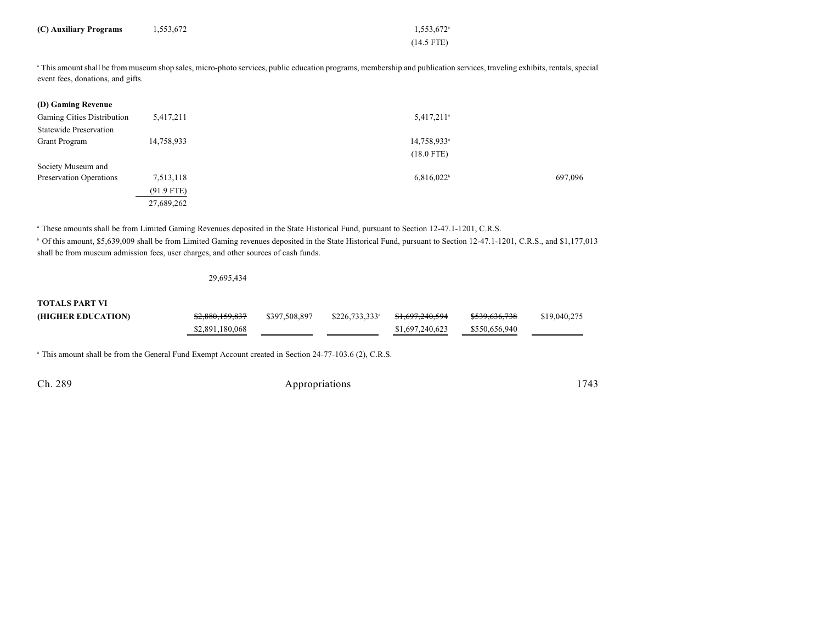| (C) Auxiliary Programs      | 1,553,672 | $1,553,672$ <sup>a</sup>                                                                                                                                                                                                                  |  |  |  |
|-----------------------------|-----------|-------------------------------------------------------------------------------------------------------------------------------------------------------------------------------------------------------------------------------------------|--|--|--|
|                             |           | $(14.5$ FTE)                                                                                                                                                                                                                              |  |  |  |
| $\sim$ $\sim$ $\sim$ $\sim$ | .         | $\overline{a}$ and $\overline{a}$ are the contract of the contract of the contract of the contract of the contract of the contract of the contract of the contract of the contract of the contract of the contract of the contract of the |  |  |  |

<sup>a</sup> This amount shall be from museum shop sales, micro-photo services, public education programs, membership and publication services, traveling exhibits, rentals, special event fees, donations, and gifts.

| (D) Gaming Revenue            |              |                          |         |
|-------------------------------|--------------|--------------------------|---------|
| Gaming Cities Distribution    | 5,417,211    | $5,417,211$ <sup>a</sup> |         |
| <b>Statewide Preservation</b> |              |                          |         |
| <b>Grant Program</b>          | 14,758,933   | 14,758,933 <sup>a</sup>  |         |
|                               |              | $(18.0$ FTE)             |         |
| Society Museum and            |              |                          |         |
| Preservation Operations       | 7,513,118    | $6,816,022^b$            | 697,096 |
|                               | $(91.9$ FTE) |                          |         |
|                               | 27,689,262   |                          |         |

<sup>a</sup> These amounts shall be from Limited Gaming Revenues deposited in the State Historical Fund, pursuant to Section 12-47.1-1201, C.R.S.

<sup>b</sup> Of this amount, \$5,639,009 shall be from Limited Gaming revenues deposited in the State Historical Fund, pursuant to Section 12-47.1-1201, C.R.S., and \$1,177,013 shall be from museum admission fees, user charges, and other sources of cash funds.

29,695,434

**TOTALS PART VI**

| (HIGHER EDUCATION) | \$2,880,159,837 | \$397,508,897 | $$226,733,333$ <sup>a</sup> | <del>\$1,697,240,594</del> | <del>\$539,636,738</del> | \$19,040,275 |
|--------------------|-----------------|---------------|-----------------------------|----------------------------|--------------------------|--------------|
|                    | \$2,891,180,068 |               |                             | \$1,697,240,623            | \$550,656,940            |              |

<sup>a</sup> This amount shall be from the General Fund Exempt Account created in Section 24-77-103.6 (2), C.R.S.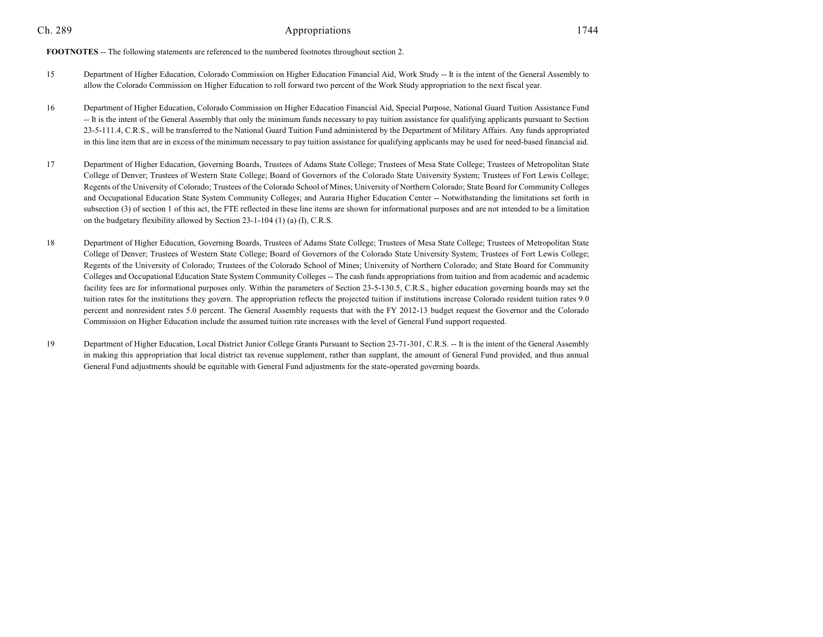**FOOTNOTES** -- The following statements are referenced to the numbered footnotes throughout section 2.

- 15 Department of Higher Education, Colorado Commission on Higher Education Financial Aid, Work Study -- It is the intent of the General Assembly to allow the Colorado Commission on Higher Education to roll forward two percent of the Work Study appropriation to the next fiscal year.
- 16 Department of Higher Education, Colorado Commission on Higher Education Financial Aid, Special Purpose, National Guard Tuition Assistance Fund -- It is the intent of the General Assembly that only the minimum funds necessary to pay tuition assistance for qualifying applicants pursuant to Section 23-5-111.4, C.R.S., will be transferred to the National Guard Tuition Fund administered by the Department of Military Affairs. Any funds appropriated in this line item that are in excess of the minimum necessary to pay tuition assistance for qualifying applicants may be used for need-based financial aid.
- 17 Department of Higher Education, Governing Boards, Trustees of Adams State College; Trustees of Mesa State College; Trustees of Metropolitan State College of Denver; Trustees of Western State College; Board of Governors of the Colorado State University System; Trustees of Fort Lewis College; Regents of the University of Colorado; Trustees of the Colorado School of Mines; University of Northern Colorado; State Board for Community Colleges and Occupational Education State System Community Colleges; and Auraria Higher Education Center -- Notwithstanding the limitations set forth in subsection (3) of section 1 of this act, the FTE reflected in these line items are shown for informational purposes and are not intended to be a limitation on the budgetary flexibility allowed by Section 23-1-104 (1) (a) (I), C.R.S.
- 18 Department of Higher Education, Governing Boards, Trustees of Adams State College; Trustees of Mesa State College; Trustees of Metropolitan State College of Denver; Trustees of Western State College; Board of Governors of the Colorado State University System; Trustees of Fort Lewis College; Regents of the University of Colorado; Trustees of the Colorado School of Mines; University of Northern Colorado; and State Board for Community Colleges and Occupational Education State System Community Colleges -- The cash funds appropriations from tuition and from academic and academic facility fees are for informational purposes only. Within the parameters of Section 23-5-130.5, C.R.S., higher education governing boards may set the tuition rates for the institutions they govern. The appropriation reflects the projected tuition if institutions increase Colorado resident tuition rates 9.0 percent and nonresident rates 5.0 percent. The General Assembly requests that with the FY 2012-13 budget request the Governor and the Colorado Commission on Higher Education include the assumed tuition rate increases with the level of General Fund support requested.
- 19 Department of Higher Education, Local District Junior College Grants Pursuant to Section 23-71-301, C.R.S. -- It is the intent of the General Assembly in making this appropriation that local district tax revenue supplement, rather than supplant, the amount of General Fund provided, and thus annual General Fund adjustments should be equitable with General Fund adjustments for the state-operated governing boards.